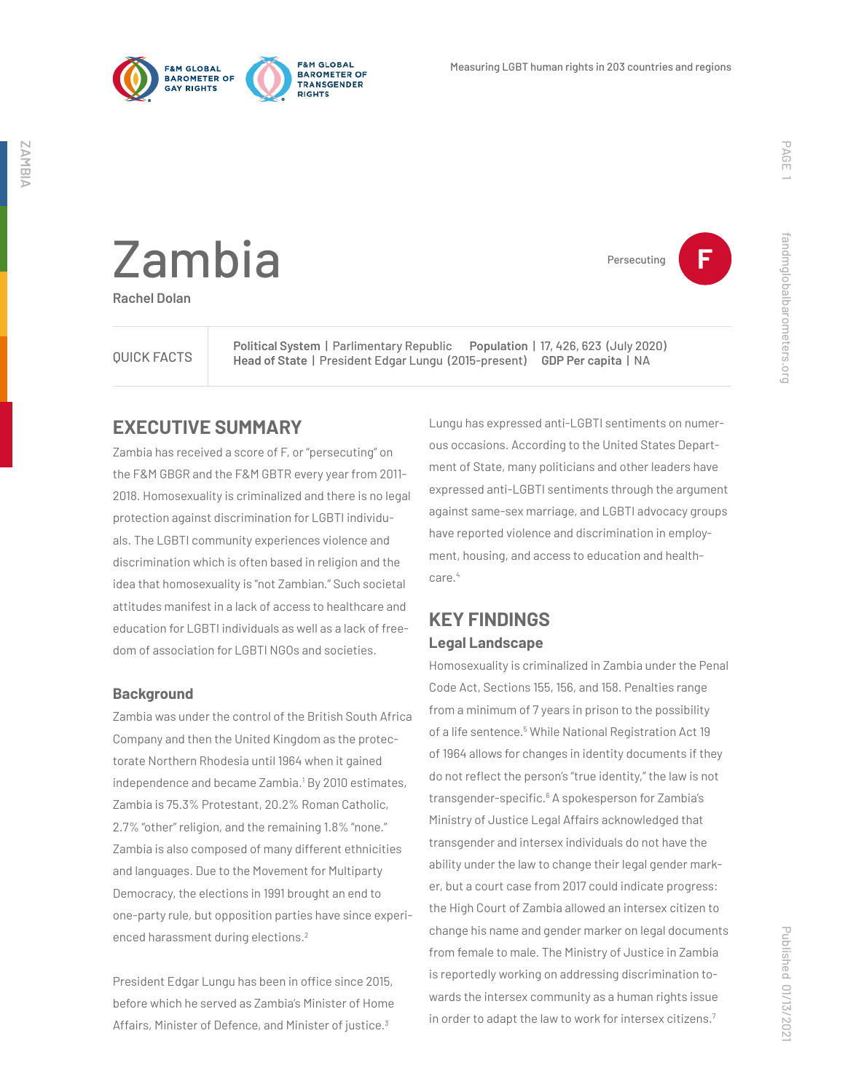



Persecuting **F**

fandmglobalbarometers.org

fandmglobalbarometers.org

Zambia

**Rachel Dolan**

QUICK FACTS

**Political System** | Parlimentary Republic **Population** | 17, 426, 623 (July 2020) **Head of State** | President Edgar Lungu (2015-present) **GDP Per capita** | NA

## **EXECUTIVE SUMMARY**

Zambia has received a score of F, or "persecuting" on the F&M GBGR and the F&M GBTR every year from 2011- 2018. Homosexuality is criminalized and there is no legal protection against discrimination for LGBTI individuals. The LGBTI community experiences violence and discrimination which is often based in religion and the idea that homosexuality is "not Zambian." Such societal attitudes manifest in a lack of access to healthcare and education for LGBTI individuals as well as a lack of freedom of association for LGBTI NGOs and societies.

#### **Background**

Zambia was under the control of the British South Africa Company and then the United Kingdom as the protectorate Northern Rhodesia until 1964 when it gained independence and became Zambia.<sup>1</sup> By 2010 estimates, Zambia is 75.3% Protestant, 20.2% Roman Catholic, 2.7% "other" religion, and the remaining 1.8% "none." Zambia is also composed of many different ethnicities and languages. Due to the Movement for Multiparty Democracy, the elections in 1991 brought an end to one-party rule, but opposition parties have since experienced harassment during elections.<sup>2</sup>

President Edgar Lungu has been in office since 2015, before which he served as Zambia's Minister of Home Affairs, Minister of Defence, and Minister of justice.<sup>3</sup>

Lungu has expressed anti-LGBTI sentiments on numerous occasions. According to the United States Department of State, many politicians and other leaders have expressed anti-LGBTI sentiments through the argument against same-sex marriage, and LGBTI advocacy groups have reported violence and discrimination in employment, housing, and access to education and healthcare.<sup>4</sup>

# **KEY FINDINGS Legal Landscape**

Homosexuality is criminalized in Zambia under the Penal Code Act, Sections 155, 156, and 158. Penalties range from a minimum of 7 years in prison to the possibility of a life sentence.<sup>5</sup> While National Registration Act 19 of 1964 allows for changes in identity documents if they do not reflect the person's "true identity," the law is not transgender-specific.<sup>6</sup> A spokesperson for Zambia's Ministry of Justice Legal Affairs acknowledged that transgender and intersex individuals do not have the ability under the law to change their legal gender marker, but a court case from 2017 could indicate progress: the High Court of Zambia allowed an intersex citizen to change his name and gender marker on legal documents from female to male. The Ministry of Justice in Zambia is reportedly working on addressing discrimination towards the intersex community as a human rights issue in order to adapt the law to work for intersex citizens.7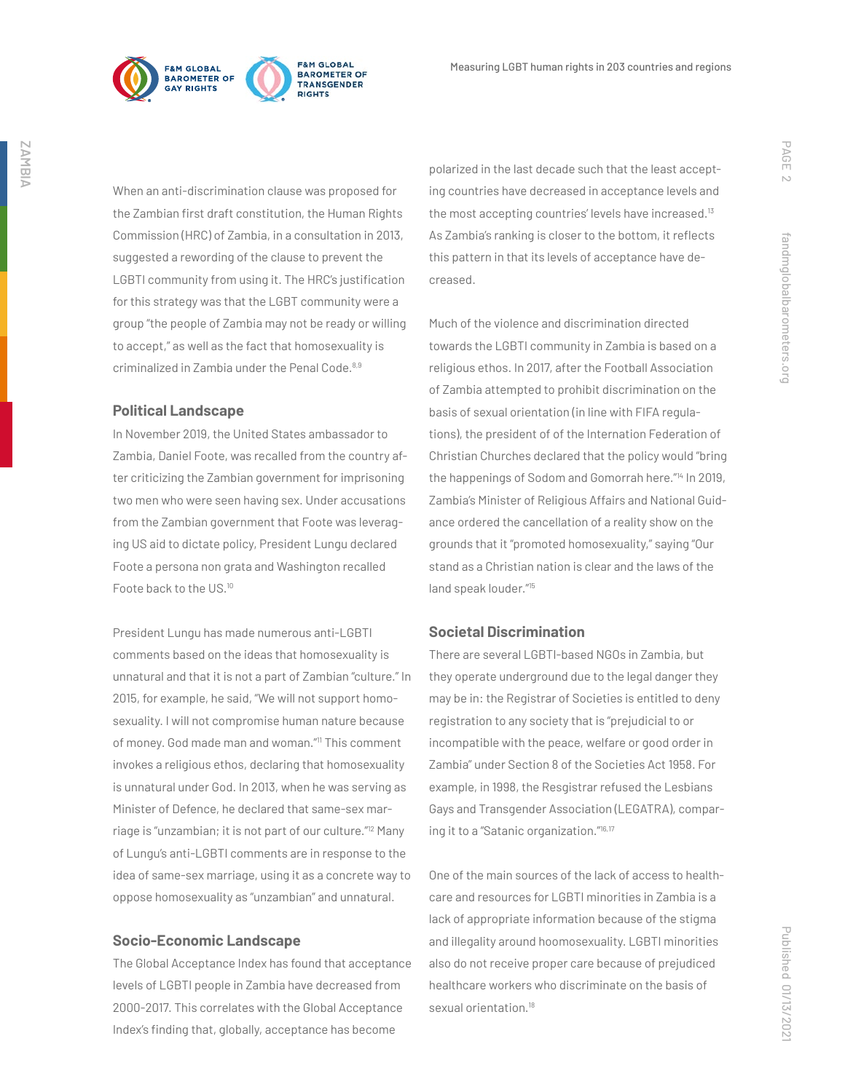

When an anti-discrimination clause was proposed for the Zambian first draft constitution, the Human Rights Commission (HRC) of Zambia, in a consultation in 2013, suggested a rewording of the clause to prevent the LGBTI community from using it. The HRC's justification for this strategy was that the LGBT community were a group "the people of Zambia may not be ready or willing to accept," as well as the fact that homosexuality is criminalized in Zambia under the Penal Code.<sup>8,9</sup>

#### **Political Landscape**

In November 2019, the United States ambassador to Zambia, Daniel Foote, was recalled from the country after criticizing the Zambian government for imprisoning two men who were seen having sex. Under accusations from the Zambian government that Foote was leveraging US aid to dictate policy, President Lungu declared Foote a persona non grata and Washington recalled Foote back to the US.<sup>10</sup>

President Lungu has made numerous anti-LGBTI comments based on the ideas that homosexuality is unnatural and that it is not a part of Zambian "culture." In 2015, for example, he said, "We will not support homosexuality. I will not compromise human nature because of money. God made man and woman."11 This comment invokes a religious ethos, declaring that homosexuality is unnatural under God. In 2013, when he was serving as Minister of Defence, he declared that same-sex marriage is "unzambian; it is not part of our culture."12 Many of Lungu's anti-LGBTI comments are in response to the idea of same-sex marriage, using it as a concrete way to oppose homosexuality as "unzambian" and unnatural.

#### **Socio-Economic Landscape**

The Global Acceptance Index has found that acceptance levels of LGBTI people in Zambia have decreased from 2000-2017. This correlates with the Global Acceptance Index's finding that, globally, acceptance has become

polarized in the last decade such that the least accepting countries have decreased in acceptance levels and the most accepting countries' levels have increased.13 As Zambia's ranking is closer to the bottom, it reflects this pattern in that its levels of acceptance have decreased.

Much of the violence and discrimination directed towards the LGBTI community in Zambia is based on a religious ethos. In 2017, after the Football Association of Zambia attempted to prohibit discrimination on the basis of sexual orientation (in line with FIFA regulations), the president of of the Internation Federation of Christian Churches declared that the policy would "bring the happenings of Sodom and Gomorrah here."<sup>14</sup> In 2019, Zambia's Minister of Religious Affairs and National Guidance ordered the cancellation of a reality show on the grounds that it "promoted homosexuality," saying "Our stand as a Christian nation is clear and the laws of the land speak louder."15

#### **Societal Discrimination**

There are several LGBTI-based NGOs in Zambia, but they operate underground due to the legal danger they may be in: the Registrar of Societies is entitled to deny registration to any society that is "prejudicial to or incompatible with the peace, welfare or good order in Zambia" under Section 8 of the Societies Act 1958. For example, in 1998, the Resgistrar refused the Lesbians Gays and Transgender Association (LEGATRA), comparing it to a "Satanic organization."16,17

One of the main sources of the lack of access to healthcare and resources for LGBTI minorities in Zambia is a lack of appropriate information because of the stigma and illegality around hoomosexuality. LGBTI minorities also do not receive proper care because of prejudiced healthcare workers who discriminate on the basis of sexual orientation.<sup>18</sup>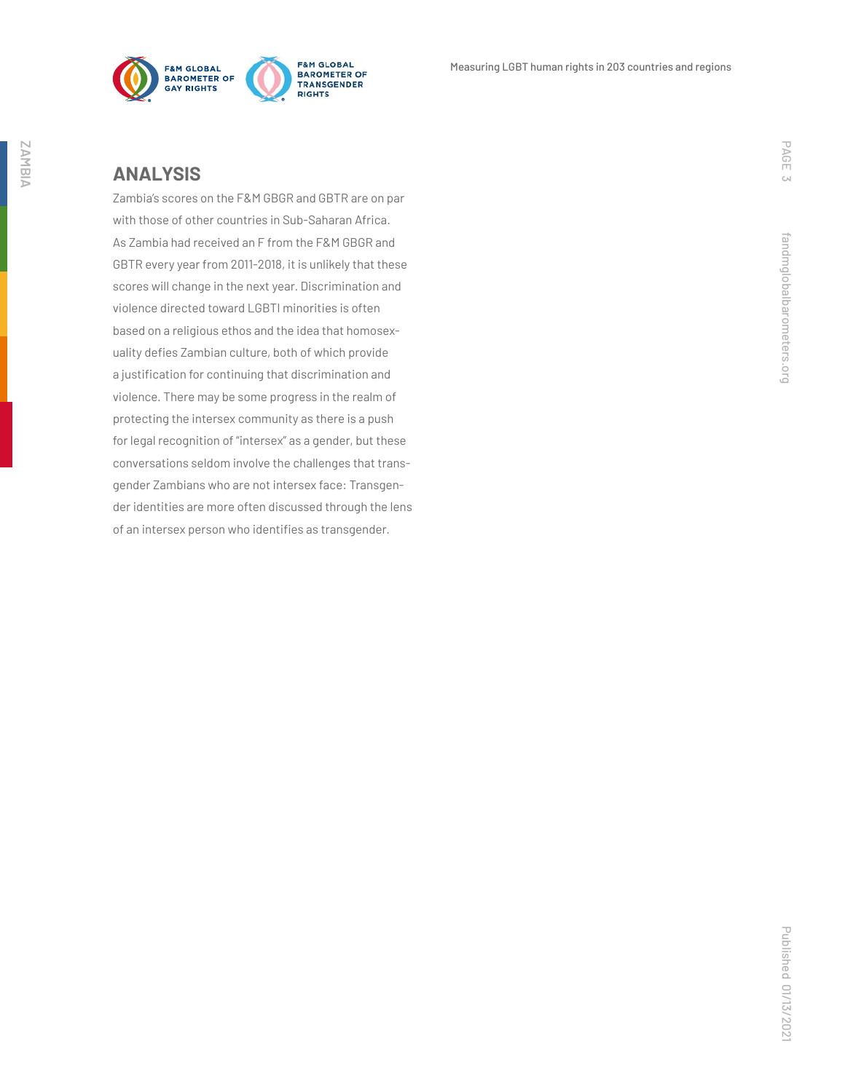

### **ANALYSIS**

Zambia's scores on the F&M GBGR and GBTR are on par with those of other countries in Sub-Saharan Africa. As Zambia had received an F from the F&M GBGR and GBTR every year from 2011-2018, it is unlikely that these scores will change in the next year. Discrimination and violence directed toward LGBTI minorities is often based on a religious ethos and the idea that homosexuality defies Zambian culture, both of which provide a justification for continuing that discrimination and violence. There may be some progress in the realm of protecting the intersex community as there is a push for legal recognition of "intersex" as a gender, but these conversations seldom involve the challenges that transgender Zambians who are not intersex face: Transgender identities are more often discussed through the lens of an intersex person who identifies as transgender.